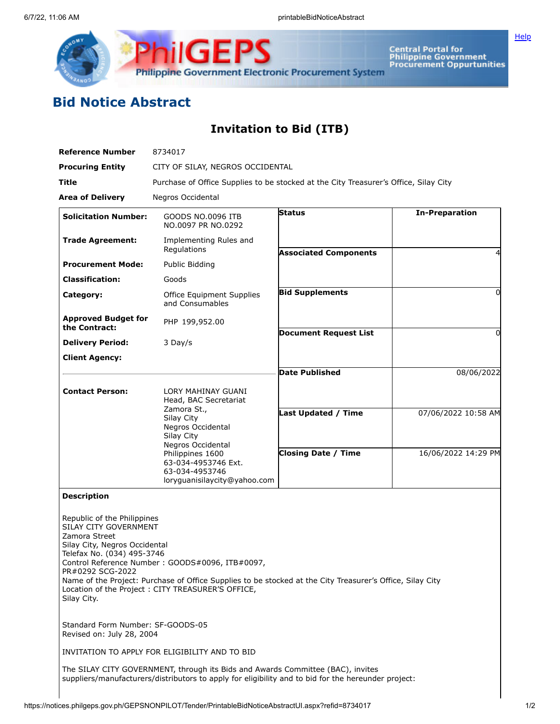

**ilGEPS** Central Portal for<br>Philippine Government<br>Procurement Oppurtunities **Philippine Government Electronic Procurement System** 

## **Bid Notice Abstract**

**Invitation to Bid (ITB)**

| <b>Reference Number</b>                                                                                                                                                 | 8734017                                                                                                                                                                                                           |                              |                       |  |  |  |  |
|-------------------------------------------------------------------------------------------------------------------------------------------------------------------------|-------------------------------------------------------------------------------------------------------------------------------------------------------------------------------------------------------------------|------------------------------|-----------------------|--|--|--|--|
| <b>Procuring Entity</b>                                                                                                                                                 | CITY OF SILAY, NEGROS OCCIDENTAL                                                                                                                                                                                  |                              |                       |  |  |  |  |
| Title                                                                                                                                                                   | Purchase of Office Supplies to be stocked at the City Treasurer's Office, Silay City                                                                                                                              |                              |                       |  |  |  |  |
| <b>Area of Delivery</b>                                                                                                                                                 | Negros Occidental                                                                                                                                                                                                 |                              |                       |  |  |  |  |
| <b>Solicitation Number:</b>                                                                                                                                             | GOODS NO.0096 ITB<br>NO.0097 PR NO.0292                                                                                                                                                                           | Status                       | <b>In-Preparation</b> |  |  |  |  |
| <b>Trade Agreement:</b>                                                                                                                                                 | Implementing Rules and<br>Regulations                                                                                                                                                                             | <b>Associated Components</b> | 4                     |  |  |  |  |
| <b>Procurement Mode:</b>                                                                                                                                                | Public Bidding                                                                                                                                                                                                    |                              |                       |  |  |  |  |
| <b>Classification:</b>                                                                                                                                                  | Goods                                                                                                                                                                                                             |                              |                       |  |  |  |  |
| Category:                                                                                                                                                               | Office Equipment Supplies<br>and Consumables                                                                                                                                                                      | <b>Bid Supplements</b>       | 0                     |  |  |  |  |
| <b>Approved Budget for</b>                                                                                                                                              | PHP 199,952.00                                                                                                                                                                                                    |                              |                       |  |  |  |  |
| the Contract:                                                                                                                                                           |                                                                                                                                                                                                                   | <b>Document Request List</b> | 0                     |  |  |  |  |
| <b>Delivery Period:</b><br><b>Client Agency:</b>                                                                                                                        | 3 Day/s                                                                                                                                                                                                           |                              |                       |  |  |  |  |
|                                                                                                                                                                         |                                                                                                                                                                                                                   | <b>Date Published</b>        | 08/06/2022            |  |  |  |  |
| <b>Contact Person:</b>                                                                                                                                                  | LORY MAHINAY GUANI<br>Head, BAC Secretariat<br>Zamora St.,<br>Silay City<br>Negros Occidental<br>Silay City<br>Negros Occidental                                                                                  | Last Updated / Time          | 07/06/2022 10:58 AM   |  |  |  |  |
|                                                                                                                                                                         | Philippines 1600<br>63-034-4953746 Ext.<br>63-034-4953746<br>loryguanisilaycity@yahoo.com                                                                                                                         | <b>Closing Date / Time</b>   | 16/06/2022 14:29 PM   |  |  |  |  |
| <b>Description</b>                                                                                                                                                      |                                                                                                                                                                                                                   |                              |                       |  |  |  |  |
| Republic of the Philippines<br>SILAY CITY GOVERNMENT<br>Zamora Street<br>Silay City, Negros Occidental<br>Telefax No. (034) 495-3746<br>PR#0292 SCG-2022<br>Silay City. | Control Reference Number: GOODS#0096, ITB#0097,<br>Name of the Project: Purchase of Office Supplies to be stocked at the City Treasurer's Office, Silay City<br>Location of the Project: CITY TREASURER'S OFFICE, |                              |                       |  |  |  |  |
| Standard Form Number: SF-GOODS-05<br>Revised on: July 28, 2004                                                                                                          |                                                                                                                                                                                                                   |                              |                       |  |  |  |  |
|                                                                                                                                                                         | INVITATION TO APPLY FOR ELIGIBILITY AND TO BID                                                                                                                                                                    |                              |                       |  |  |  |  |
|                                                                                                                                                                         | The SILAY CITY GOVERNMENT, through its Bids and Awards Committee (BAC), invites<br>suppliers/manufacturers/distributors to apply for eligibility and to bid for the hereunder project:                            |                              |                       |  |  |  |  |